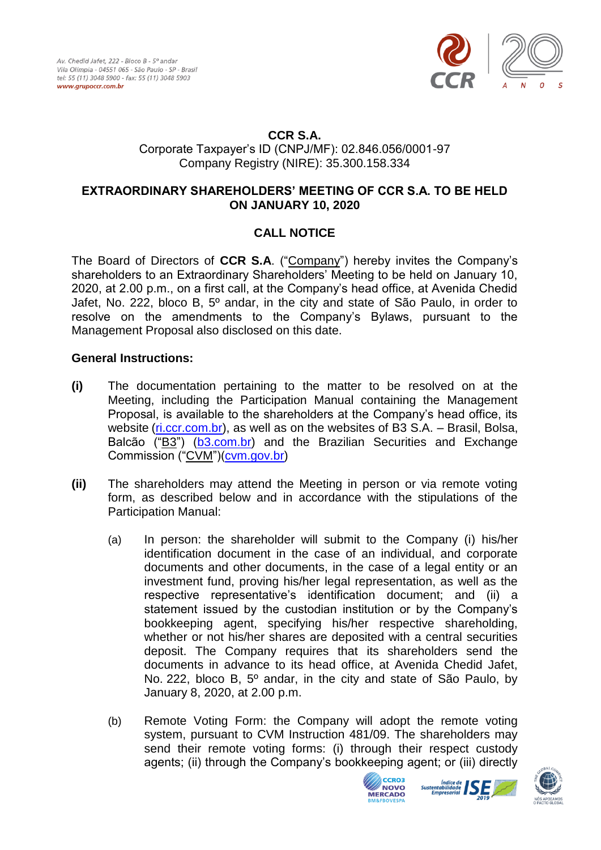

## **CCR S.A.**

Corporate Taxpayer's ID (CNPJ/MF): 02.846.056/0001-97 Company Registry (NIRE): 35.300.158.334

## **EXTRAORDINARY SHAREHOLDERS' MEETING OF CCR S.A. TO BE HELD ON JANUARY 10, 2020**

## **CALL NOTICE**

The Board of Directors of **CCR S.A**. ("Company") hereby invites the Company's shareholders to an Extraordinary Shareholders' Meeting to be held on January 10, 2020, at 2.00 p.m., on a first call, at the Company's head office, at Avenida Chedid Jafet, No. 222, bloco B, 5º andar, in the city and state of São Paulo, in order to resolve on the amendments to the Company's Bylaws, pursuant to the Management Proposal also disclosed on this date.

## **General Instructions:**

- **(i)** The documentation pertaining to the matter to be resolved on at the Meeting, including the Participation Manual containing the Management Proposal, is available to the shareholders at the Company's head office, its website [\(ri.ccr.com.br\)](http://ri.ccr.com.br/), as well as on the websites of B3 S.A. – Brasil, Bolsa, Balcão ("B3") [\(b3.com.br\)](http://www.b3.com.br/) and the Brazilian Securities and Exchange Commission ("CVM")[\(cvm.gov.br\)](http://www.cvm.gov.br/)
- **(ii)** The shareholders may attend the Meeting in person or via remote voting form, as described below and in accordance with the stipulations of the Participation Manual:
	- (a) In person: the shareholder will submit to the Company (i) his/her identification document in the case of an individual, and corporate documents and other documents, in the case of a legal entity or an investment fund, proving his/her legal representation, as well as the respective representative's identification document; and (ii) a statement issued by the custodian institution or by the Company's bookkeeping agent, specifying his/her respective shareholding, whether or not his/her shares are deposited with a central securities deposit. The Company requires that its shareholders send the documents in advance to its head office, at Avenida Chedid Jafet, No. 222, bloco B, 5º andar, in the city and state of São Paulo, by January 8, 2020, at 2.00 p.m.
	- (b) Remote Voting Form: the Company will adopt the remote voting system, pursuant to CVM Instruction 481/09. The shareholders may send their remote voting forms: (i) through their respect custody agents; (ii) through the Company's bookkeeping agent; or (iii) directly